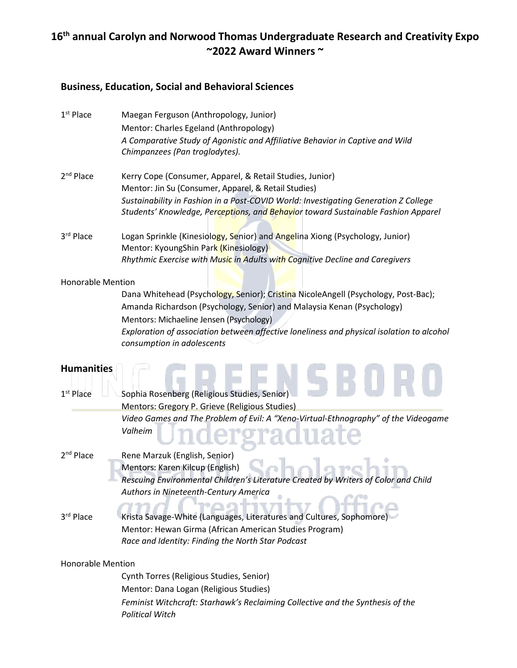# **16th annual Carolyn and Norwood Thomas Undergraduate Research and Creativity Expo ~2022 Award Winners ~**

#### **Business, Education, Social and Behavioral Sciences**

| $1st$ Place              | Maegan Ferguson (Anthropology, Junior)                                                                                                                                   |
|--------------------------|--------------------------------------------------------------------------------------------------------------------------------------------------------------------------|
|                          | Mentor: Charles Egeland (Anthropology)                                                                                                                                   |
|                          | A Comparative Study of Agonistic and Affiliative Behavior in Captive and Wild                                                                                            |
|                          | Chimpanzees (Pan troglodytes).                                                                                                                                           |
| 2 <sup>nd</sup> Place    | Kerry Cope (Consumer, Apparel, & Retail Studies, Junior)                                                                                                                 |
|                          | Mentor: Jin Su (Consumer, Apparel, & Retail Studies)                                                                                                                     |
|                          | Sustainability in Fashion in a Post-COVID World: Investigating Generation Z College<br>Students' Knowledge, Perceptions, and Behavior toward Sustainable Fashion Apparel |
| 3rd Place                | Logan Sprinkle (Kinesiology, Senior) and Angelina Xiong (Psychology, Junior)<br>Mentor: KyoungShin Park (Kinesiology)                                                    |
|                          | Rhythmic Exercise with Music in Adults with Cognitive Decline and Caregivers                                                                                             |
| <b>Honorable Mention</b> |                                                                                                                                                                          |
|                          | Dana Whitehead (Psychology, Senior); Cristina NicoleAngell (Psychology, Post-Bac);                                                                                       |
|                          | Amanda Richardson (Psychology, Senior) and Malaysia Kenan (Psychology)<br>Mentors: Michaeline Jensen (Psychology)                                                        |
|                          | Exploration of association between affective loneliness and physical isolation to alcohol                                                                                |
|                          | consumption in adolescents                                                                                                                                               |
| <b>Humanities</b>        |                                                                                                                                                                          |
| $1st$ Place              | Sophia Rosenberg (Religious Studies, Senior)                                                                                                                             |
|                          | Mentors: Gregory P. Grieve (Religious Studies)                                                                                                                           |
|                          | Video Games and The Problem of Evil: A "Xeno-Virtual-Ethnography" of the Videogame<br>Valheim                                                                            |
| 2 <sup>nd</sup> Place    | Rene Marzuk (English, Senior)<br>Mentors: Karen Kilcup (English)<br>Rescuing Environmental Children's Literature Created by Writers of Color and Child                   |
|                          | Authors in Nineteenth-Century America                                                                                                                                    |
| 3rd Place                | Krista Savage-White (Languages, Literatures and Cultures, Sophomore)                                                                                                     |
|                          | Mentor: Hewan Girma (African American Studies Program)                                                                                                                   |
|                          | Race and Identity: Finding the North Star Podcast                                                                                                                        |
| <b>Honorable Mention</b> |                                                                                                                                                                          |
|                          | Cynth Torres (Religious Studies, Senior)                                                                                                                                 |
|                          | Mentor: Dana Logan (Religious Studies)                                                                                                                                   |
|                          | Feminist Witchcraft: Starhawk's Reclaiming Collective and the Synthesis of the<br><b>Political Witch</b>                                                                 |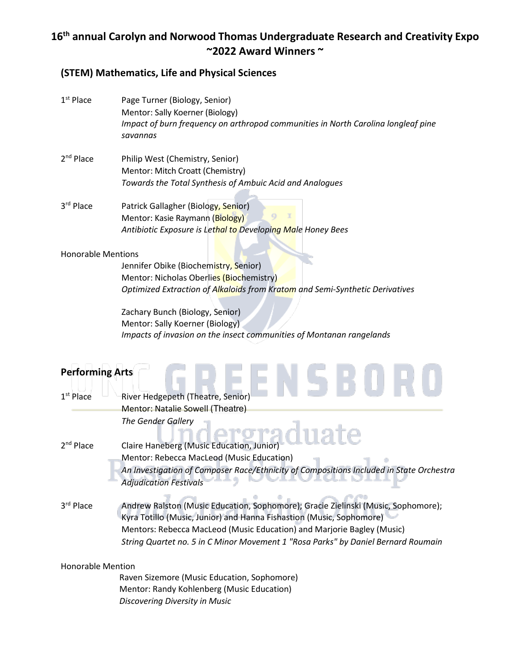# **16th annual Carolyn and Norwood Thomas Undergraduate Research and Creativity Expo ~2022 Award Winners ~**

### **(STEM) Mathematics, Life and Physical Sciences**

| $1st$ Place                                     | Page Turner (Biology, Senior)<br>Mentor: Sally Koerner (Biology)<br>Impact of burn frequency on arthropod communities in North Carolina longleaf pine<br>savannas                                                                                                                                                        |
|-------------------------------------------------|--------------------------------------------------------------------------------------------------------------------------------------------------------------------------------------------------------------------------------------------------------------------------------------------------------------------------|
| $2nd$ Place                                     | Philip West (Chemistry, Senior)<br>Mentor: Mitch Croatt (Chemistry)<br>Towards the Total Synthesis of Ambuic Acid and Analogues                                                                                                                                                                                          |
| 3rd Place                                       | Patrick Gallagher (Biology, Senior)<br>Mentor: Kasie Raymann (Biology)<br>Antibiotic Exposure is Lethal to Developing Male Honey Bees                                                                                                                                                                                    |
| <b>Honorable Mentions</b>                       | Jennifer Obike (Biochemistry, Senior)<br>Mentor: Nicholas Oberlies (Biochemistry)<br>Optimized Extraction of Alkaloids from Kratom and Semi-Synthetic Derivatives<br>Zachary Bunch (Biology, Senior)<br>Mentor: Sally Koerner (Biology)<br>Impacts of invasion on the insect communities of Montanan rangelands          |
| <b>Performing Arts</b><br>1 <sup>st</sup> Place | River Hedgepeth (Theatre, Senior)<br>Mentor: Natalie Sowell (Theatre)<br>The Gender Gallery                                                                                                                                                                                                                              |
| $2nd$ Place                                     | Claire Haneberg (Music Education, Junior)<br>Mentor: Rebecca MacLeod (Music Education)<br>An Investigation of Composer Race/Ethnicity of Compositions Included in State Orchestra<br><b>Adjudication Festivals</b>                                                                                                       |
| 3rd Place                                       | Andrew Ralston (Music Education, Sophomore); Gracie Zielinski (Music, Sophomore);<br>Kyra Totillo (Music, Junior) and Hanna Fishastion (Music, Sophomore)<br>Mentors: Rebecca MacLeod (Music Education) and Marjorie Bagley (Music)<br>String Quartet no. 5 in C Minor Movement 1 "Rosa Parks" by Daniel Bernard Roumain |
| <b>Honorable Mention</b>                        | Raven Sizemore (Music Education, Sophomore)<br>Mentor: Randy Kohlenberg (Music Education)<br>Discovering Diversity in Music                                                                                                                                                                                              |